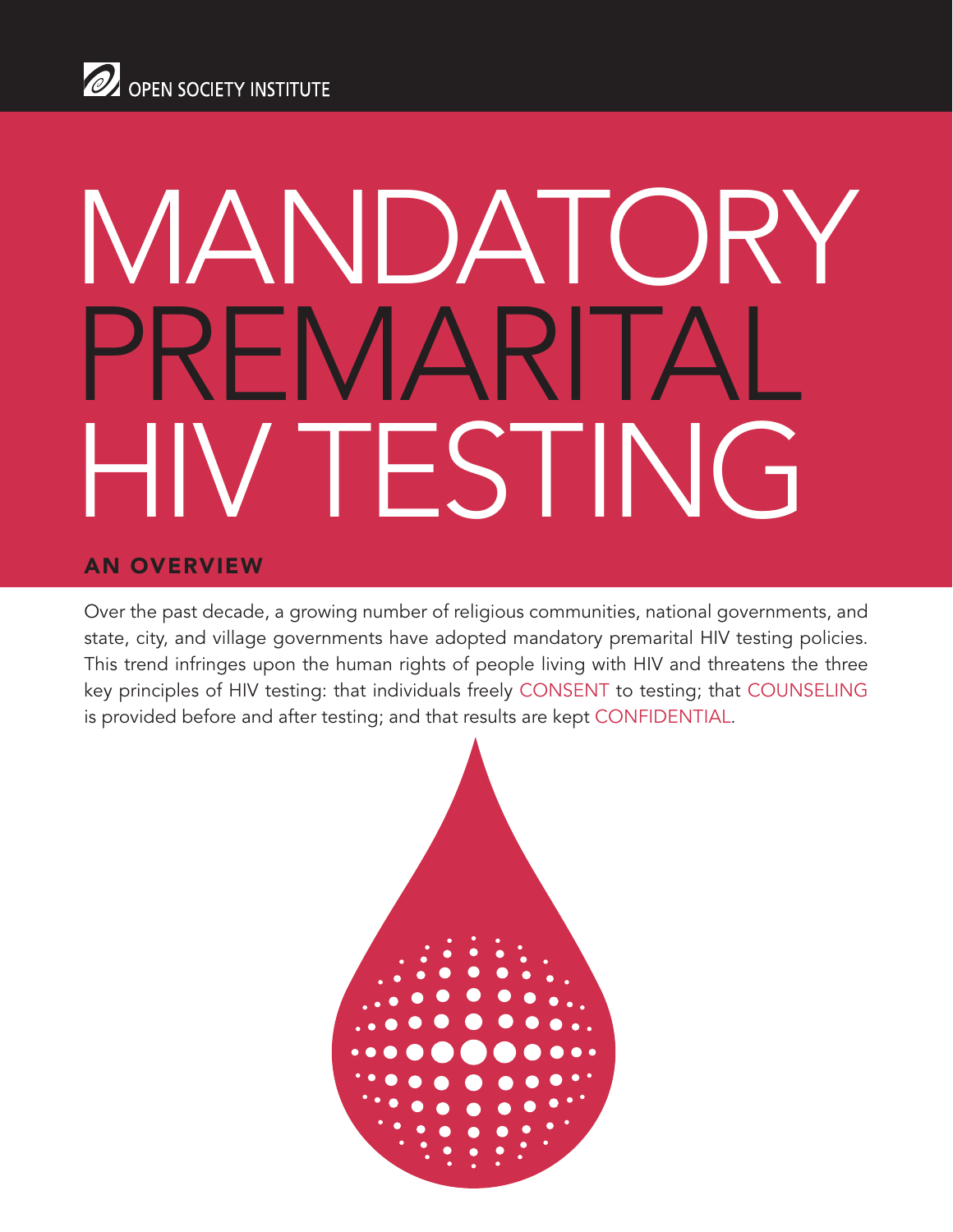# Mandatory PREMARITA ' TESTING

#### An Overview

Over the past decade, a growing number of religious communities, national governments, and state, city, and village governments have adopted mandatory premarital HIV testing policies. This trend infringes upon the human rights of people living with HIV and threatens the three key principles of HIV testing: that individuals freely CONSENT to testing; that COUNSELING is provided before and after testing; and that results are kept CONFIDENTIAL.

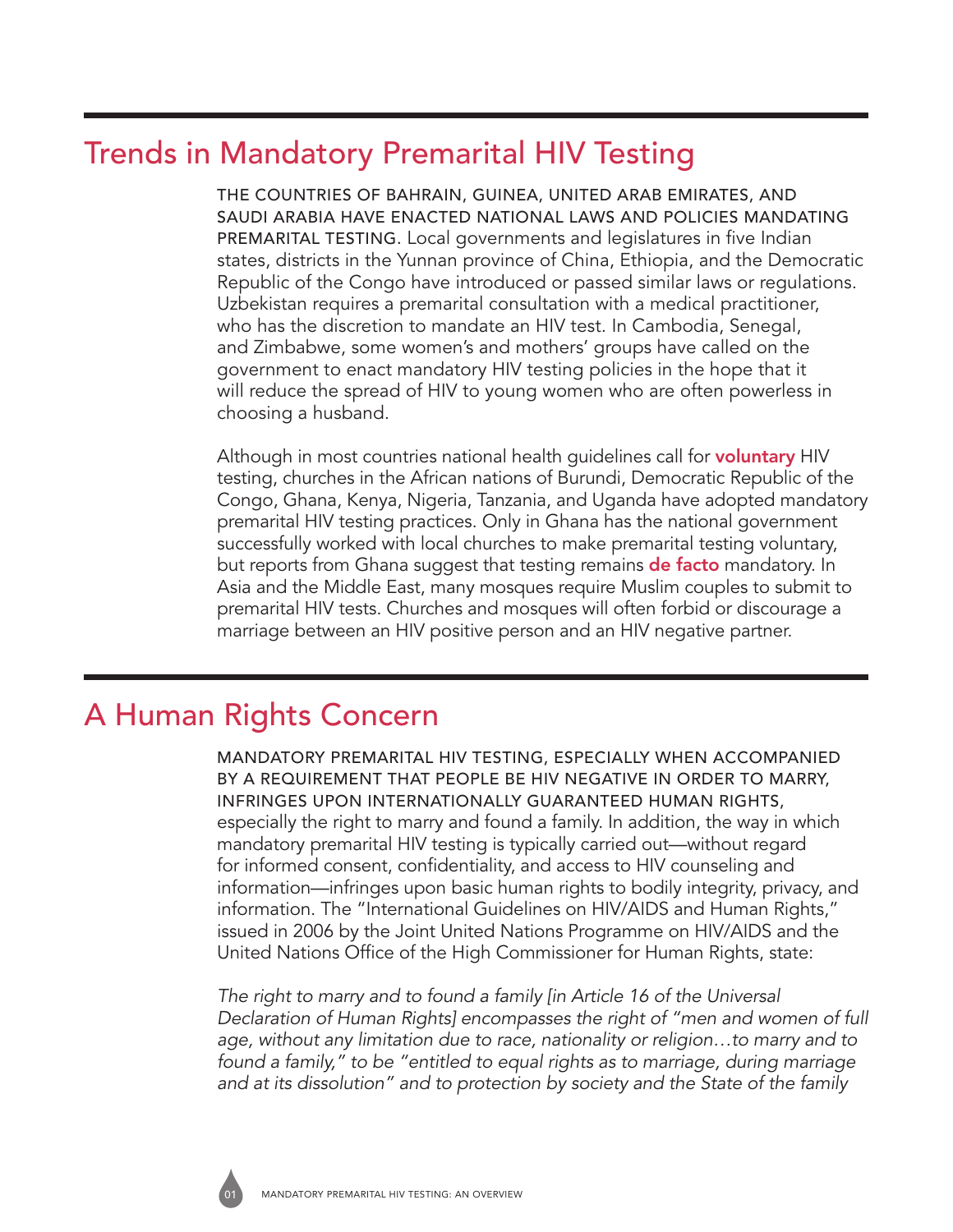## Trends in Mandatory Premarital HIV Testing

The countries of Bahrain, Guinea, United Arab Emirates, and Saudi Arabia have enacted national laws and policies mandating PREMARITAL TESTING. Local governments and legislatures in five Indian states, districts in the Yunnan province of China, Ethiopia, and the Democratic Republic of the Congo have introduced or passed similar laws or regulations. Uzbekistan requires a premarital consultation with a medical practitioner, who has the discretion to mandate an HIV test. In Cambodia, Senegal, and Zimbabwe, some women's and mothers' groups have called on the government to enact mandatory HIV testing policies in the hope that it will reduce the spread of HIV to young women who are often powerless in choosing a husband.

Although in most countries national health guidelines call for **voluntary** HIV testing, churches in the African nations of Burundi, Democratic Republic of the Congo, Ghana, Kenya, Nigeria, Tanzania, and Uganda have adopted mandatory premarital HIV testing practices. Only in Ghana has the national government successfully worked with local churches to make premarital testing voluntary, but reports from Ghana suggest that testing remains **de facto** mandatory. In Asia and the Middle East, many mosques require Muslim couples to submit to premarital HIV tests. Churches and mosques will often forbid or discourage a marriage between an HIV positive person and an HIV negative partner.

## A Human Rights Concern

Mandatory premarital HIV testing, especially when accompanied BY A REQUIREMENT THAT PEOPLE BE HIV NEGATIVE IN ORDER TO MARRY, infringes upon internationally guaranteed human rights, especially the right to marry and found a family. In addition, the way in which mandatory premarital HIV testing is typically carried out—without regard for informed consent, confidentiality, and access to HIV counseling and information—infringes upon basic human rights to bodily integrity, privacy, and information. The "International Guidelines on HIV/AIDS and Human Rights," issued in 2006 by the Joint United Nations Programme on HIV/AIDS and the United Nations Office of the High Commissioner for Human Rights, state:

*The right to marry and to found a family [in Article 16 of the Universal Declaration of Human Rights] encompasses the right of "men and women of full age, without any limitation due to race, nationality or religion…to marry and to found a family," to be "entitled to equal rights as to marriage, during marriage and at its dissolution" and to protection by society and the State of the family* 

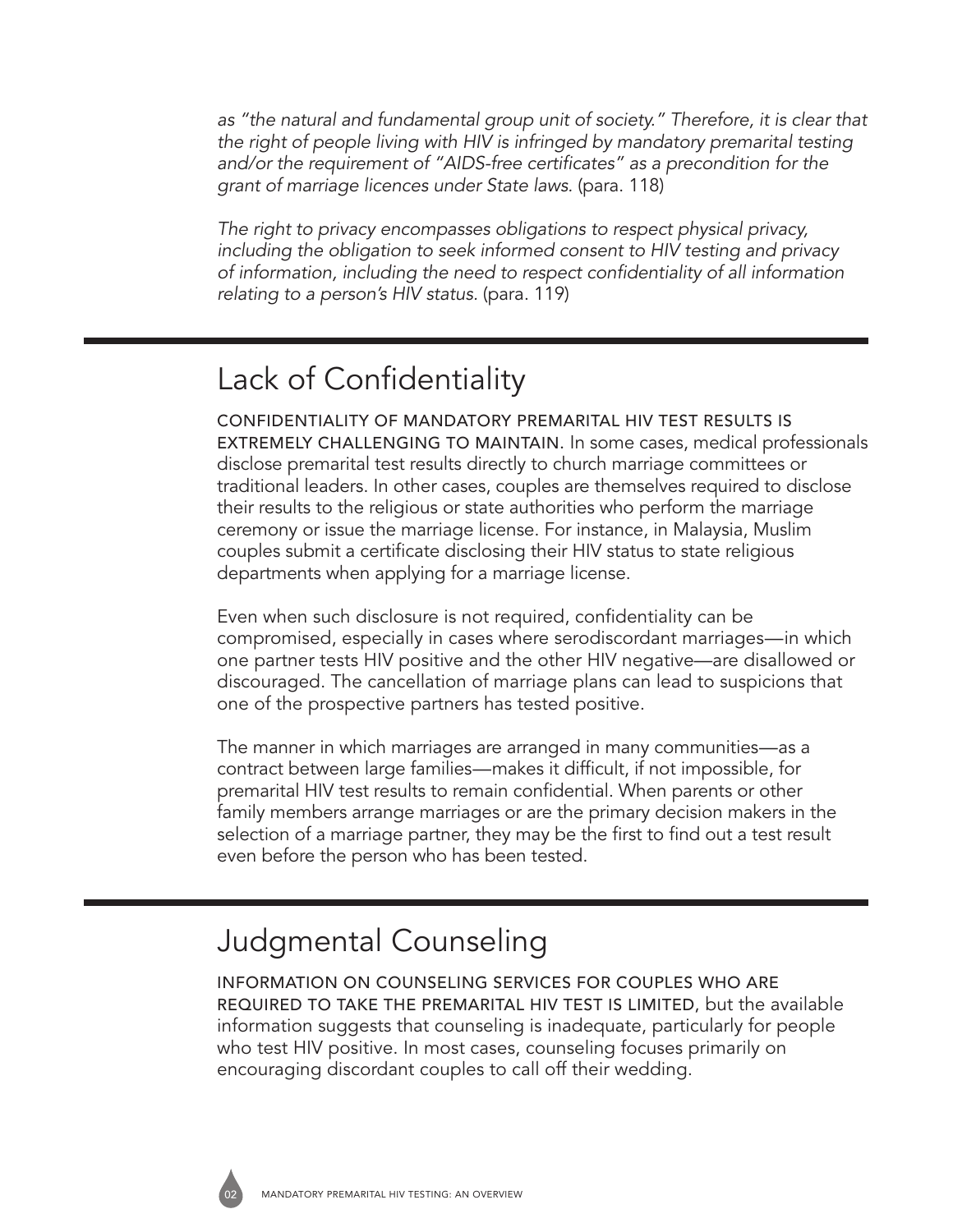*as "the natural and fundamental group unit of society." Therefore, it is clear that the right of people living with HIV is infringed by mandatory premarital testing and/or the requirement of "AIDS-free certificates" as a precondition for the grant of marriage licences under State laws.* (para. 118)

*The right to privacy encompasses obligations to respect physical privacy, including the obligation to seek informed consent to HIV testing and privacy of information, including the need to respect confidentiality of all information relating to a person's HIV status.* (para. 119)

## Lack of Confidentiality

Confidentiality of mandatory premarital HIV test results is extremely challenging to maintain. In some cases, medical professionals disclose premarital test results directly to church marriage committees or traditional leaders. In other cases, couples are themselves required to disclose their results to the religious or state authorities who perform the marriage ceremony or issue the marriage license. For instance, in Malaysia, Muslim couples submit a certificate disclosing their HIV status to state religious departments when applying for a marriage license.

Even when such disclosure is not required, confidentiality can be compromised, especially in cases where serodiscordant marriages—in which one partner tests HIV positive and the other HIV negative—are disallowed or discouraged. The cancellation of marriage plans can lead to suspicions that one of the prospective partners has tested positive.

The manner in which marriages are arranged in many communities—as a contract between large families—makes it difficult, if not impossible, for premarital HIV test results to remain confidential. When parents or other family members arrange marriages or are the primary decision makers in the selection of a marriage partner, they may be the first to find out a test result even before the person who has been tested.

## Judgmental Counseling

Information on counseling services for couples who are required to take the premarital HIV test is limited, but the available information suggests that counseling is inadequate, particularly for people who test HIV positive. In most cases, counseling focuses primarily on encouraging discordant couples to call off their wedding.

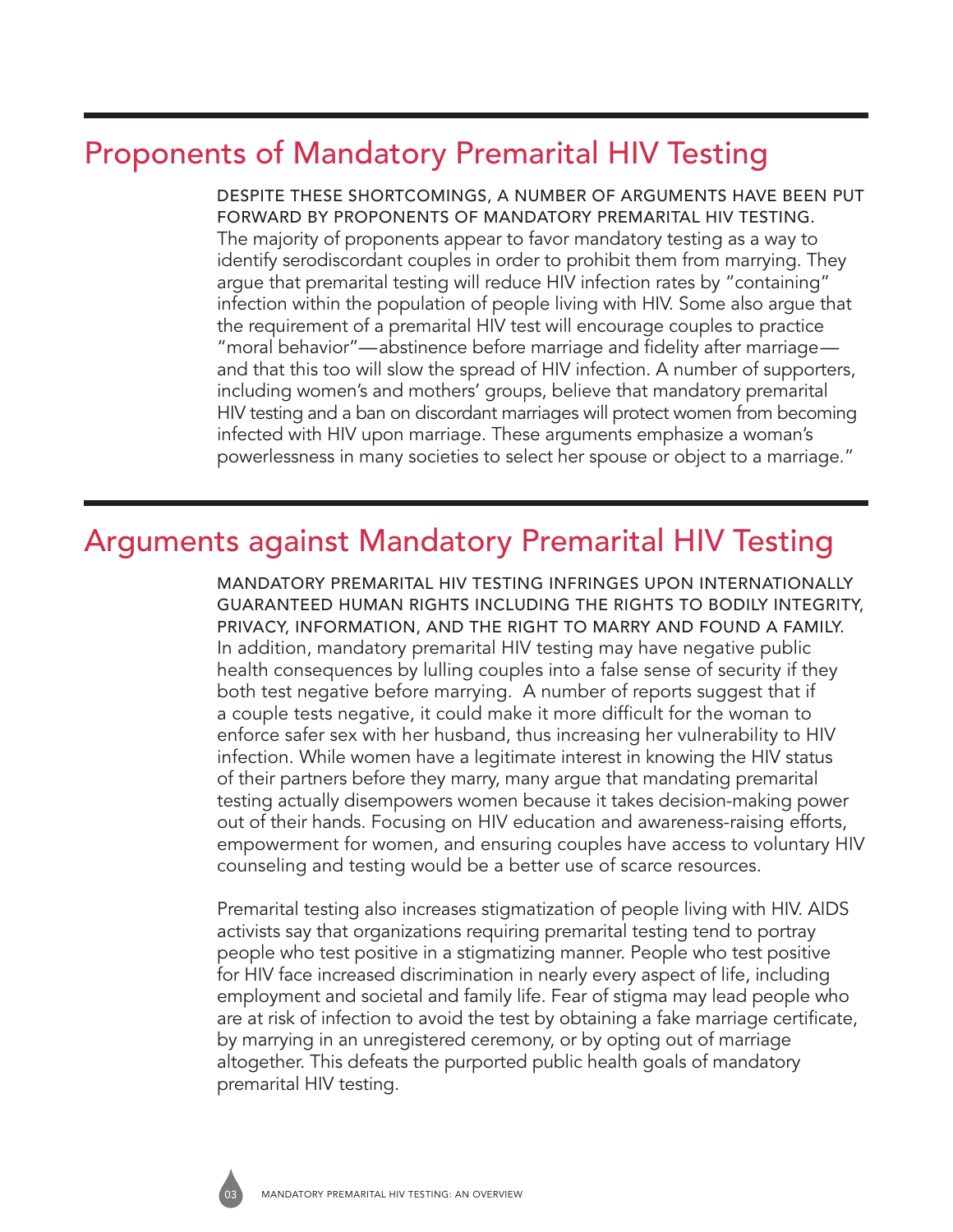## Proponents of Mandatory Premarital HIV Testing

Despite these shortcomings, a number of arguments have been put forward by proponents of MANDATORY PREMARITAL HIV TESTING. The majority of proponents appear to favor mandatory testing as a way to identify serodiscordant couples in order to prohibit them from marrying. They argue that premarital testing will reduce HIV infection rates by "containing" infection within the population of people living with HIV. Some also argue that the requirement of a premarital HIV test will encourage couples to practice "moral behavior"—abstinence before marriage and fidelity after marriage and that this too will slow the spread of HIV infection. A number of supporters, including women's and mothers' groups, believe that mandatory premarital HIV testing and a ban on discordant marriages will protect women from becoming infected with HIV upon marriage. These arguments emphasize a woman's powerlessness in many societies to select her spouse or object to a marriage."

### Arguments against Mandatory Premarital HIV Testing

Mandatory premarital HIV testing infringes upon internationally guaranteed human rights including the rights to bodily integrity, privacy, information, and the right to marry and found a family. In addition, mandatory premarital HIV testing may have negative public health consequences by lulling couples into a false sense of security if they both test negative before marrying. A number of reports suggest that if a couple tests negative, it could make it more difficult for the woman to enforce safer sex with her husband, thus increasing her vulnerability to HIV infection. While women have a legitimate interest in knowing the HIV status of their partners before they marry, many argue that mandating premarital testing actually disempowers women because it takes decision-making power out of their hands. Focusing on HIV education and awareness-raising efforts, empowerment for women, and ensuring couples have access to voluntary HIV counseling and testing would be a better use of scarce resources.

Premarital testing also increases stigmatization of people living with HIV. AIDS activists say that organizations requiring premarital testing tend to portray people who test positive in a stigmatizing manner. People who test positive for HIV face increased discrimination in nearly every aspect of life, including employment and societal and family life. Fear of stigma may lead people who are at risk of infection to avoid the test by obtaining a fake marriage certificate, by marrying in an unregistered ceremony, or by opting out of marriage altogether. This defeats the purported public health goals of mandatory premarital HIV testing.

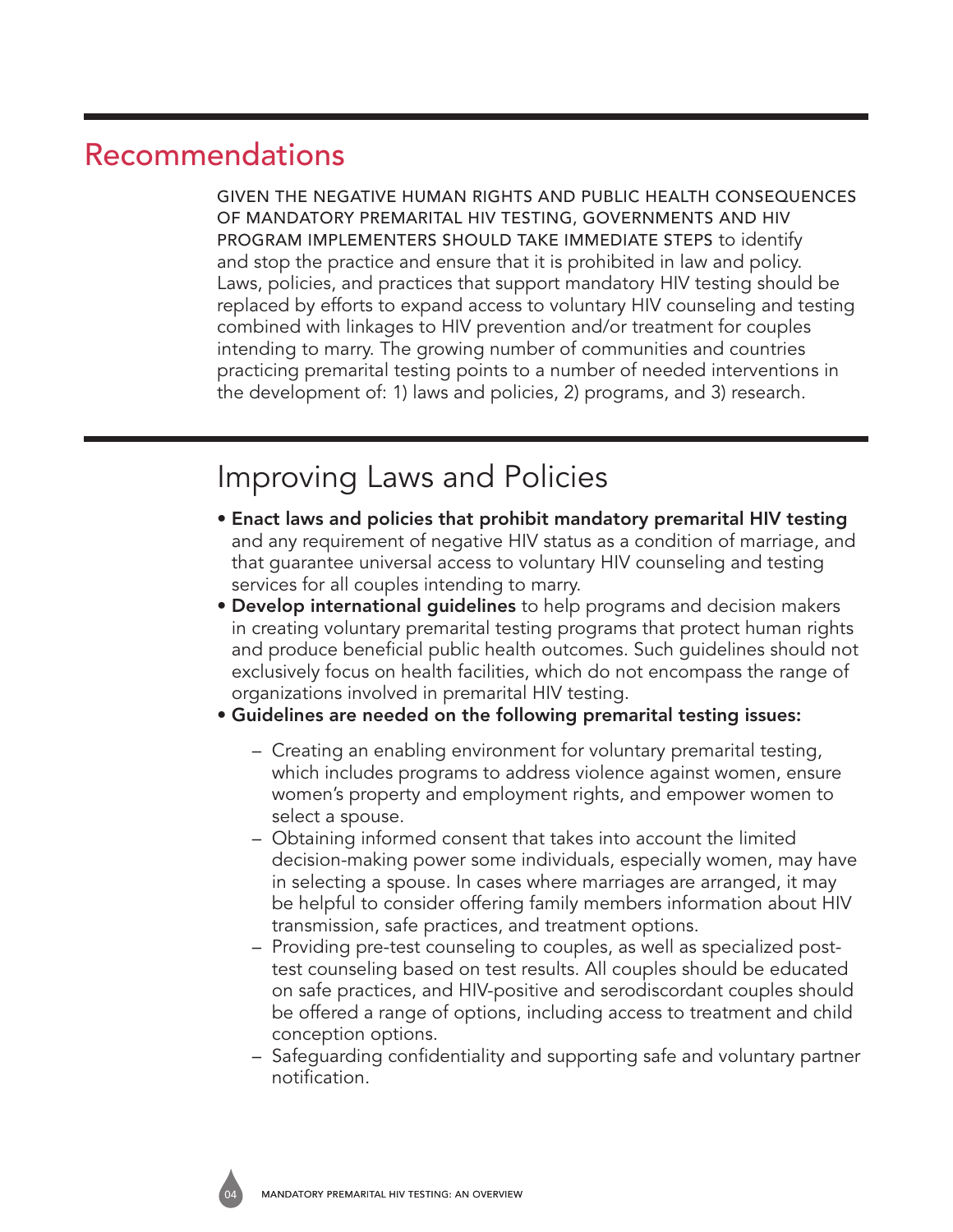### Recommendations

Given the negative human rights and public health consequences of mandatory premarital HIV testing, governments and HIV program implementers should take immediate steps to identify and stop the practice and ensure that it is prohibited in law and policy. Laws, policies, and practices that support mandatory HIV testing should be replaced by efforts to expand access to voluntary HIV counseling and testing combined with linkages to HIV prevention and/or treatment for couples intending to marry. The growing number of communities and countries practicing premarital testing points to a number of needed interventions in the development of: 1) laws and policies, 2) programs, and 3) research.

## Improving Laws and Policies

- Enact laws and policies that prohibit mandatory premarital HIV testing and any requirement of negative HIV status as a condition of marriage, and that guarantee universal access to voluntary HIV counseling and testing services for all couples intending to marry.
- Develop international guidelines to help programs and decision makers in creating voluntary premarital testing programs that protect human rights and produce beneficial public health outcomes. Such guidelines should not exclusively focus on health facilities, which do not encompass the range of organizations involved in premarital HIV testing.
- Guidelines are needed on the following premarital testing issues:
	- Creating an enabling environment for voluntary premarital testing, which includes programs to address violence against women, ensure women's property and employment rights, and empower women to select a spouse.
	- Obtaining informed consent that takes into account the limited decision-making power some individuals, especially women, may have in selecting a spouse. In cases where marriages are arranged, it may be helpful to consider offering family members information about HIV transmission, safe practices, and treatment options.
	- Providing pre-test counseling to couples, as well as specialized posttest counseling based on test results. All couples should be educated on safe practices, and HIV-positive and serodiscordant couples should be offered a range of options, including access to treatment and child conception options.
	- Safeguarding confidentiality and supporting safe and voluntary partner notification.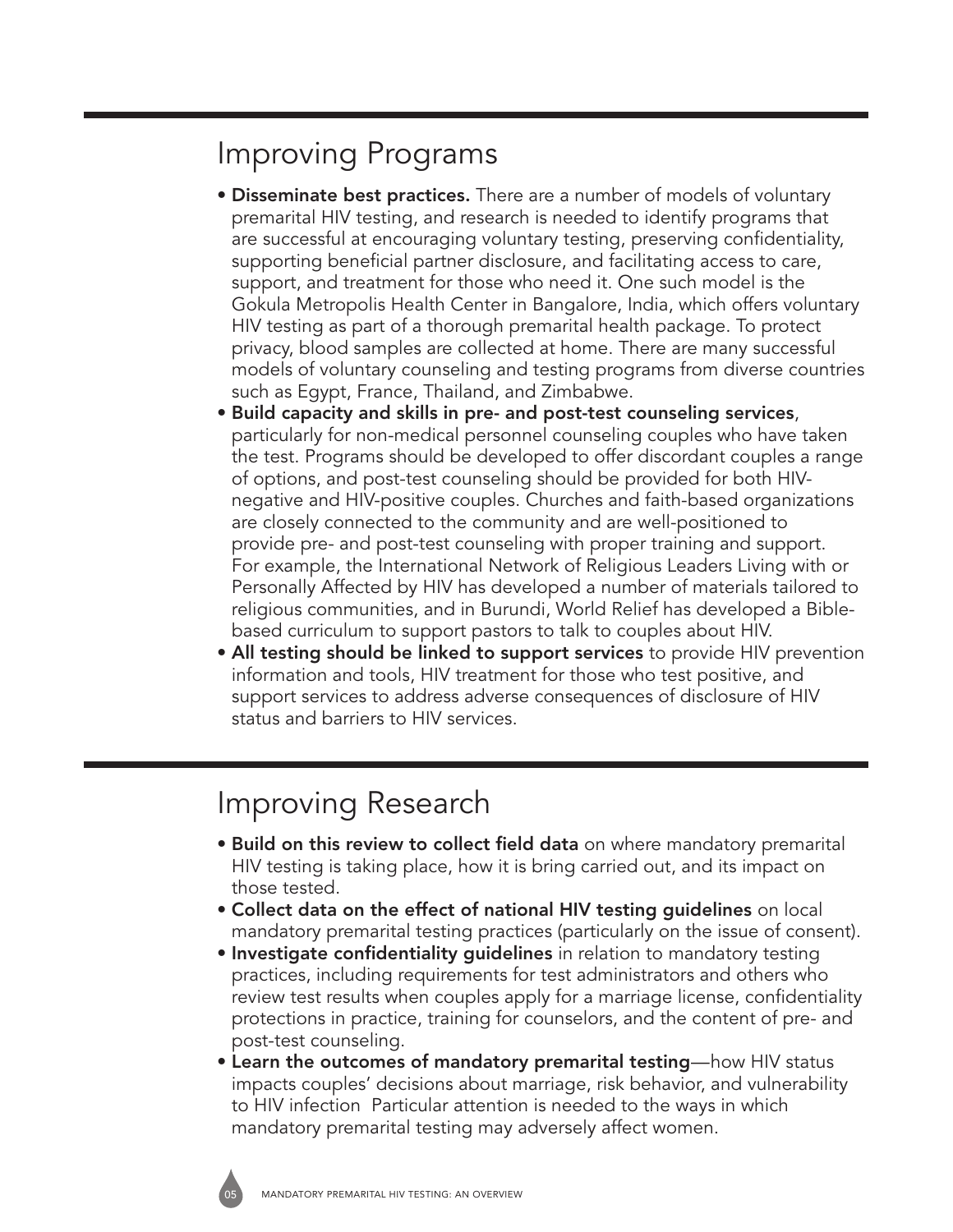## Improving Programs

- Disseminate best practices. There are a number of models of voluntary premarital HIV testing, and research is needed to identify programs that are successful at encouraging voluntary testing, preserving confidentiality, supporting beneficial partner disclosure, and facilitating access to care, support, and treatment for those who need it. One such model is the Gokula Metropolis Health Center in Bangalore, India, which offers voluntary HIV testing as part of a thorough premarital health package. To protect privacy, blood samples are collected at home. There are many successful models of voluntary counseling and testing programs from diverse countries such as Egypt, France, Thailand, and Zimbabwe.
- Build capacity and skills in pre- and post-test counseling services, particularly for non-medical personnel counseling couples who have taken the test. Programs should be developed to offer discordant couples a range of options, and post-test counseling should be provided for both HIVnegative and HIV-positive couples. Churches and faith-based organizations are closely connected to the community and are well-positioned to provide pre- and post-test counseling with proper training and support. For example, the International Network of Religious Leaders Living with or Personally Affected by HIV has developed a number of materials tailored to religious communities, and in Burundi, World Relief has developed a Biblebased curriculum to support pastors to talk to couples about HIV.
- All testing should be linked to support services to provide HIV prevention information and tools, HIV treatment for those who test positive, and support services to address adverse consequences of disclosure of HIV status and barriers to HIV services.

#### Improving Research

- Build on this review to collect field data on where mandatory premarital HIV testing is taking place, how it is bring carried out, and its impact on those tested.
- Collect data on the effect of national HIV testing guidelines on local mandatory premarital testing practices (particularly on the issue of consent).
- Investigate confidentiality guidelines in relation to mandatory testing practices, including requirements for test administrators and others who review test results when couples apply for a marriage license, confidentiality protections in practice, training for counselors, and the content of pre- and post-test counseling.
- Learn the outcomes of mandatory premarital testing—how HIV status impacts couples' decisions about marriage, risk behavior, and vulnerability to HIV infection Particular attention is needed to the ways in which mandatory premarital testing may adversely affect women.

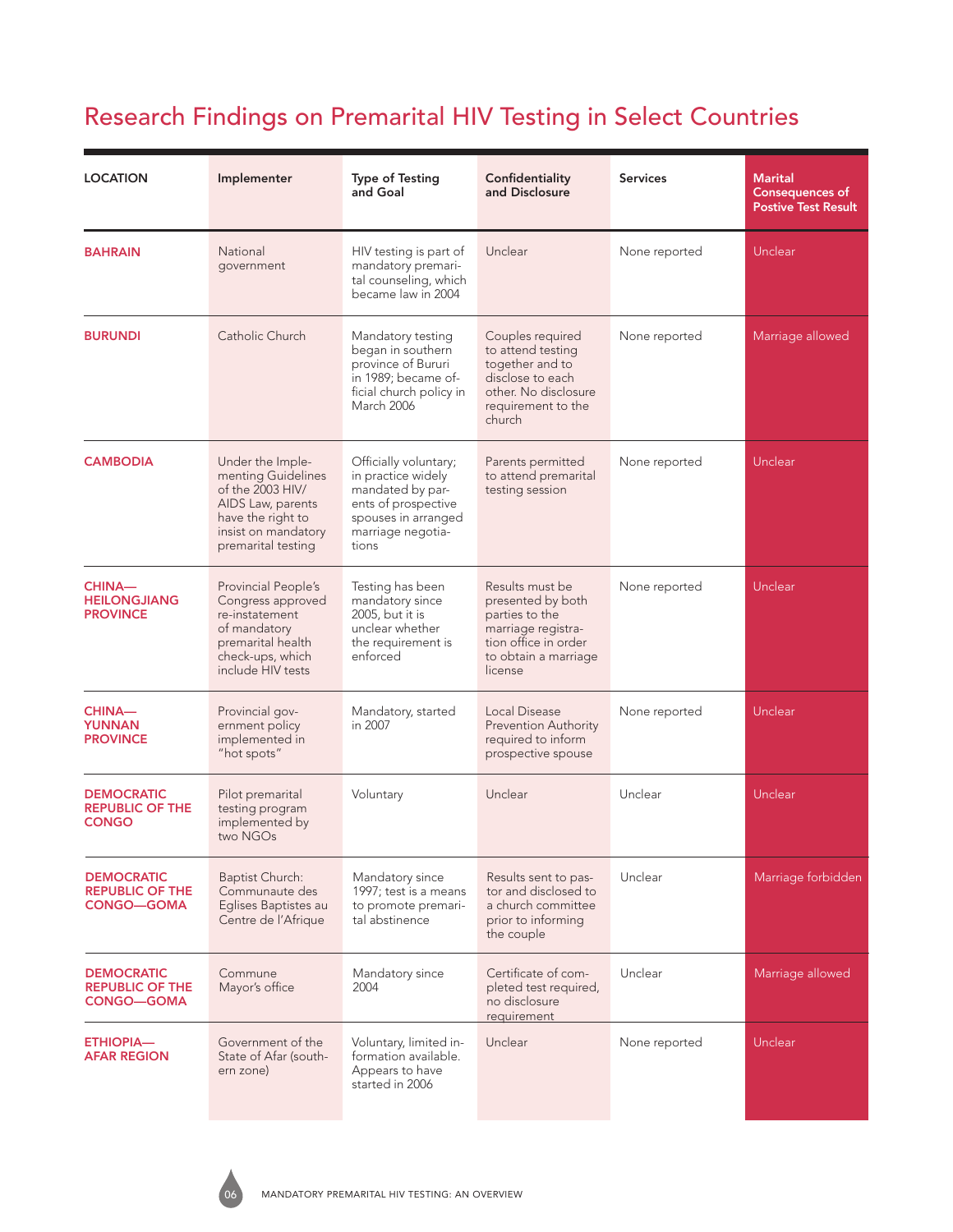| <b>LOCATION</b>                                                  | Implementer                                                                                                                                       | <b>Type of Testing</b><br>and Goal                                                                                                          | Confidentiality<br>and Disclosure                                                                                                       | <b>Services</b> | <b>Marital</b><br><b>Consequences of</b><br><b>Postive Test Result</b> |
|------------------------------------------------------------------|---------------------------------------------------------------------------------------------------------------------------------------------------|---------------------------------------------------------------------------------------------------------------------------------------------|-----------------------------------------------------------------------------------------------------------------------------------------|-----------------|------------------------------------------------------------------------|
| <b>BAHRAIN</b>                                                   | National<br>government                                                                                                                            | HIV testing is part of<br>mandatory premari-<br>tal counseling, which<br>became law in 2004                                                 | Unclear                                                                                                                                 | None reported   | Unclear                                                                |
| <b>BURUNDI</b>                                                   | Catholic Church                                                                                                                                   | Mandatory testing<br>began in southern<br>province of Bururi<br>in 1989; became of-<br>ficial church policy in<br><b>March 2006</b>         | Couples required<br>to attend testing<br>together and to<br>disclose to each<br>other. No disclosure<br>requirement to the<br>church    | None reported   | Marriage allowed                                                       |
| <b>CAMBODIA</b>                                                  | Under the Imple-<br>menting Guidelines<br>of the 2003 HIV/<br>AIDS Law, parents<br>have the right to<br>insist on mandatory<br>premarital testing | Officially voluntary;<br>in practice widely<br>mandated by par-<br>ents of prospective<br>spouses in arranged<br>marriage negotia-<br>tions | Parents permitted<br>to attend premarital<br>testing session                                                                            | None reported   | Unclear                                                                |
| <b>CHINA-</b><br><b>HEILONGJIANG</b><br><b>PROVINCE</b>          | Provincial People's<br>Congress approved<br>re-instatement<br>of mandatory<br>premarital health<br>check-ups, which<br>include HIV tests          | Testing has been<br>mandatory since<br>2005, but it is<br>unclear whether<br>the requirement is<br>enforced                                 | Results must be<br>presented by both<br>parties to the<br>marriage registra-<br>tion office in order<br>to obtain a marriage<br>license | None reported   | Unclear                                                                |
| <b>CHINA-</b><br><b>YUNNAN</b><br><b>PROVINCE</b>                | Provincial gov-<br>ernment policy<br>implemented in<br>"hot spots"                                                                                | Mandatory, started<br>in 2007                                                                                                               | Local Disease<br><b>Prevention Authority</b><br>required to inform<br>prospective spouse                                                | None reported   | Unclear                                                                |
| <b>DEMOCRATIC</b><br><b>REPUBLIC OF THE</b><br><b>CONGO</b>      | Pilot premarital<br>testing program<br>implemented by<br>two NGOs                                                                                 | Voluntary                                                                                                                                   | Unclear                                                                                                                                 | Unclear         | Unclear                                                                |
| <b>DEMOCRATIC</b><br><b>REPUBLIC OF THE</b><br><b>CONGO-GOMA</b> | <b>Baptist Church:</b><br>Communaute des<br>Eglises Baptistes au<br>Centre de l'Afrique                                                           | Mandatory since<br>1997; test is a means<br>to promote premari-<br>tal abstinence                                                           | Results sent to pas-<br>tor and disclosed to<br>a church committee<br>prior to informing<br>the couple                                  | Unclear         | Marriage forbidden                                                     |
| <b>DEMOCRATIC</b><br><b>REPUBLIC OF THE</b><br><b>CONGO-GOMA</b> | Commune<br>Mayor's office                                                                                                                         | Mandatory since<br>2004                                                                                                                     | Certificate of com-<br>pleted test required,<br>no disclosure<br>requirement                                                            | Unclear         | Marriage allowed                                                       |
| <b>ETHIOPIA-</b><br><b>AFAR REGION</b>                           | Government of the<br>State of Afar (south-<br>ern zone)                                                                                           | Voluntary, limited in-<br>formation available.<br>Appears to have<br>started in 2006                                                        | Unclear                                                                                                                                 | None reported   | Unclear                                                                |

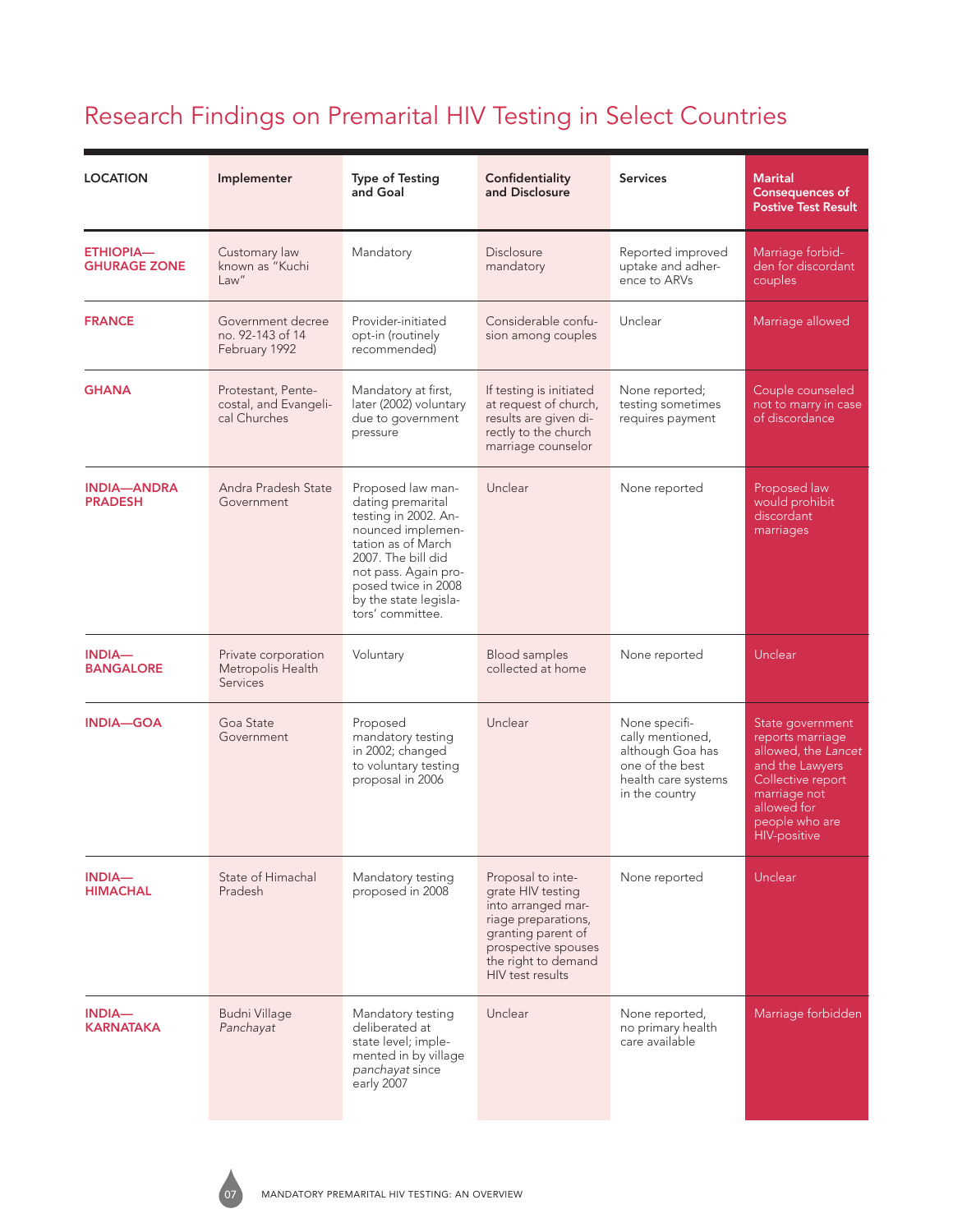| <b>LOCATION</b>                         | Implementer                                                 | <b>Type of Testing</b><br>and Goal                                                                                                                                                                                          | Confidentiality<br>and Disclosure                                                                                                                                           | <b>Services</b>                                                                                                   | <b>Marital</b><br><b>Consequences of</b><br><b>Postive Test Result</b>                                                                                                      |
|-----------------------------------------|-------------------------------------------------------------|-----------------------------------------------------------------------------------------------------------------------------------------------------------------------------------------------------------------------------|-----------------------------------------------------------------------------------------------------------------------------------------------------------------------------|-------------------------------------------------------------------------------------------------------------------|-----------------------------------------------------------------------------------------------------------------------------------------------------------------------------|
| <b>ETHIOPIA-</b><br><b>GHURAGE ZONE</b> | Customary law<br>known as "Kuchi<br>Law''                   | Mandatory                                                                                                                                                                                                                   | Disclosure<br>mandatory                                                                                                                                                     | Reported improved<br>uptake and adher-<br>ence to ARVs                                                            | Marriage forbid-<br>den for discordant<br>couples                                                                                                                           |
| <b>FRANCE</b>                           | Government decree<br>no. 92-143 of 14<br>February 1992      | Provider-initiated<br>opt-in (routinely<br>recommended)                                                                                                                                                                     | Considerable confu-<br>sion among couples                                                                                                                                   | Unclear                                                                                                           | Marriage allowed                                                                                                                                                            |
| <b>GHANA</b>                            | Protestant, Pente-<br>costal, and Evangeli-<br>cal Churches | Mandatory at first,<br>later (2002) voluntary<br>due to government<br>pressure                                                                                                                                              | If testing is initiated<br>at request of church,<br>results are given di-<br>rectly to the church<br>marriage counselor                                                     | None reported;<br>testing sometimes<br>requires payment                                                           | Couple counseled<br>not to marry in case<br>of discordance                                                                                                                  |
| <b>INDIA-ANDRA</b><br><b>PRADESH</b>    | Andra Pradesh State<br>Government                           | Proposed law man-<br>dating premarital<br>testing in 2002. An-<br>nounced implemen-<br>tation as of March<br>2007. The bill did<br>not pass. Again pro-<br>posed twice in 2008<br>by the state legisla-<br>tors' committee. | Unclear                                                                                                                                                                     | None reported                                                                                                     | Proposed law<br>would prohibit<br>discordant<br>marriages                                                                                                                   |
| <b>INDIA-</b><br><b>BANGALORE</b>       | Private corporation<br>Metropolis Health<br><b>Services</b> | Voluntary                                                                                                                                                                                                                   | <b>Blood samples</b><br>collected at home                                                                                                                                   | None reported                                                                                                     | Unclear                                                                                                                                                                     |
| <b>INDIA-GOA</b>                        | Goa State<br>Government                                     | Proposed<br>mandatory testing<br>in 2002; changed<br>to voluntary testing<br>proposal in 2006                                                                                                                               | Unclear                                                                                                                                                                     | None specifi-<br>cally mentioned,<br>although Goa has<br>one of the best<br>health care systems<br>in the country | State government<br>reports marriage<br>allowed, the Lancet<br>and the Lawyers<br>Collective report<br>marriage not<br>allowed for<br>people who are<br><b>HIV-positive</b> |
| <b>INDIA-</b><br><b>HIMACHAL</b>        | State of Himachal<br>Pradesh                                | Mandatory testing<br>proposed in 2008                                                                                                                                                                                       | Proposal to inte-<br>grate HIV testing<br>into arranged mar-<br>riage preparations,<br>granting parent of<br>prospective spouses<br>the right to demand<br>HIV test results | None reported                                                                                                     | Unclear                                                                                                                                                                     |
| <b>INDIA-</b><br><b>KARNATAKA</b>       | <b>Budni Village</b><br>Panchayat                           | Mandatory testing<br>deliberated at<br>state level; imple-<br>mented in by village<br>panchayat since<br>early 2007                                                                                                         | Unclear                                                                                                                                                                     | None reported,<br>no primary health<br>care available                                                             | Marriage forbidden                                                                                                                                                          |

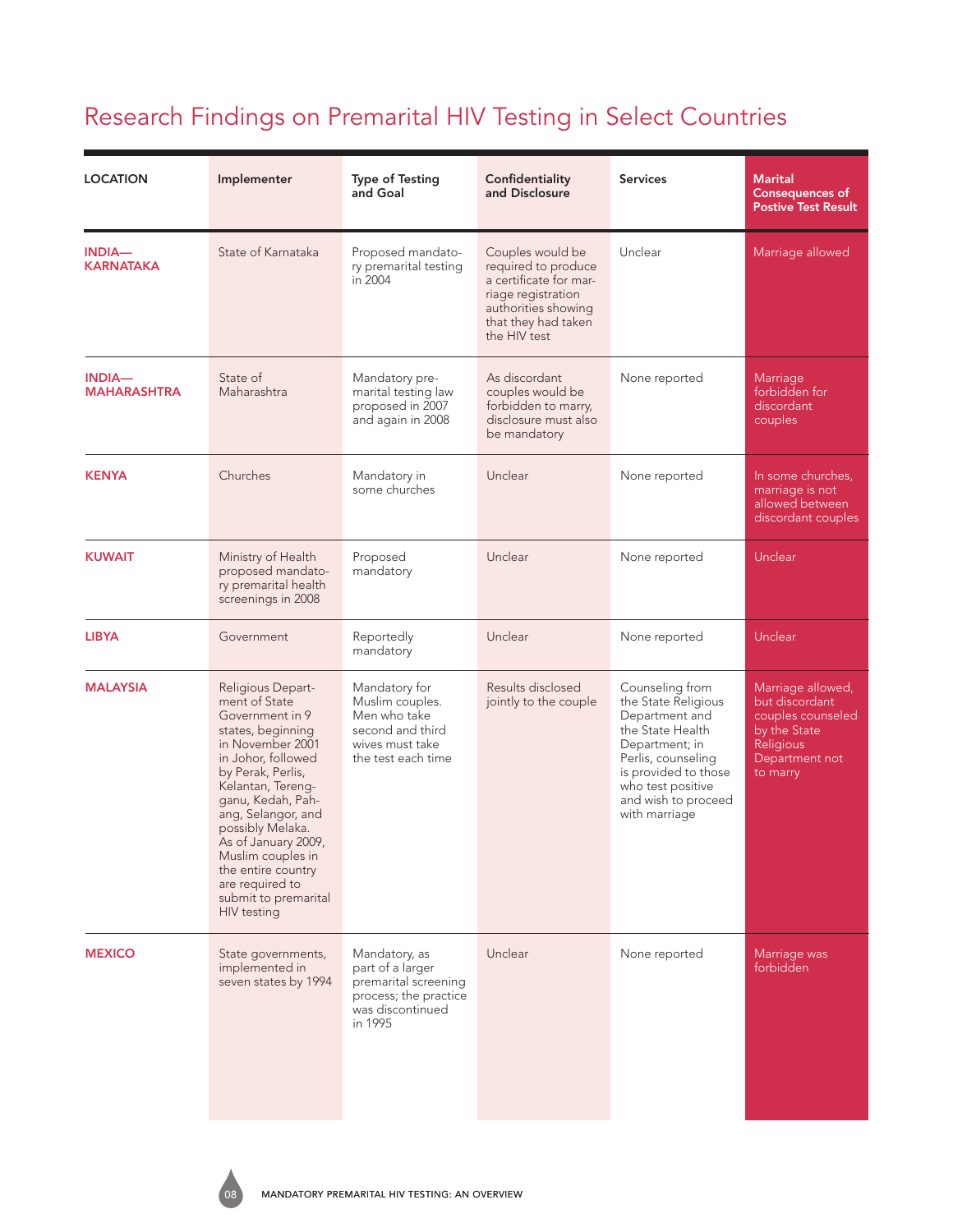| <b>LOCATION</b>                     | Implementer                                                                                                                                                                                                                                                                                                                                               | <b>Type of Testing</b><br>and Goal                                                                                | Confidentiality<br>and Disclosure                                                                                                                     | <b>Services</b>                                                                                                                                                                                           | <b>Marital</b><br><b>Consequences of</b><br><b>Postive Test Result</b>                                              |
|-------------------------------------|-----------------------------------------------------------------------------------------------------------------------------------------------------------------------------------------------------------------------------------------------------------------------------------------------------------------------------------------------------------|-------------------------------------------------------------------------------------------------------------------|-------------------------------------------------------------------------------------------------------------------------------------------------------|-----------------------------------------------------------------------------------------------------------------------------------------------------------------------------------------------------------|---------------------------------------------------------------------------------------------------------------------|
| <b>INDIA-</b><br><b>KARNATAKA</b>   | State of Karnataka                                                                                                                                                                                                                                                                                                                                        | Proposed mandato-<br>ry premarital testing<br>in 2004                                                             | Couples would be<br>required to produce<br>a certificate for mar-<br>riage registration<br>authorities showing<br>that they had taken<br>the HIV test | Unclear                                                                                                                                                                                                   | Marriage allowed                                                                                                    |
| <b>INDIA-</b><br><b>MAHARASHTRA</b> | State of<br>Maharashtra                                                                                                                                                                                                                                                                                                                                   | Mandatory pre-<br>marital testing law<br>proposed in 2007<br>and again in 2008                                    | As discordant<br>couples would be<br>forbidden to marry,<br>disclosure must also<br>be mandatory                                                      | None reported                                                                                                                                                                                             | Marriage<br>forbidden for<br>discordant<br>couples                                                                  |
| <b>KENYA</b>                        | Churches                                                                                                                                                                                                                                                                                                                                                  | Mandatory in<br>some churches                                                                                     | Unclear                                                                                                                                               | None reported                                                                                                                                                                                             | In some churches,<br>marriage is not<br>allowed between<br>discordant couples                                       |
| <b>KUWAIT</b>                       | Ministry of Health<br>proposed mandato-<br>ry premarital health<br>screenings in 2008                                                                                                                                                                                                                                                                     | Proposed<br>mandatory                                                                                             | Unclear                                                                                                                                               | None reported                                                                                                                                                                                             | Unclear                                                                                                             |
| <b>LIBYA</b>                        | Government                                                                                                                                                                                                                                                                                                                                                | Reportedly<br>mandatory                                                                                           | Unclear                                                                                                                                               | None reported                                                                                                                                                                                             | Unclear                                                                                                             |
| <b>MALAYSIA</b>                     | Religious Depart-<br>ment of State<br>Government in 9<br>states, beginning<br>in November 2001<br>in Johor, followed<br>by Perak, Perlis,<br>Kelantan, Tereng-<br>ganu, Kedah, Pah-<br>ang, Selangor, and<br>possibly Melaka.<br>As of January 2009,<br>Muslim couples in<br>the entire country<br>are required to<br>submit to premarital<br>HIV testing | Mandatory for<br>Muslim couples.<br>Men who take<br>second and third<br>wives must take<br>the test each time     | Results disclosed<br>jointly to the couple                                                                                                            | Counseling from<br>the State Religious<br>Department and<br>the State Health<br>Department; in<br>Perlis, counseling<br>is provided to those<br>who test positive<br>and wish to proceed<br>with marriage | Marriage allowed,<br>but discordant<br>couples counseled<br>by the State<br>Religious<br>Department not<br>to marry |
| <b>MEXICO</b>                       | State governments,<br>implemented in<br>seven states by 1994                                                                                                                                                                                                                                                                                              | Mandatory, as<br>part of a larger<br>premarital screening<br>process; the practice<br>was discontinued<br>in 1995 | Unclear                                                                                                                                               | None reported                                                                                                                                                                                             | Marriage was<br>forbidden                                                                                           |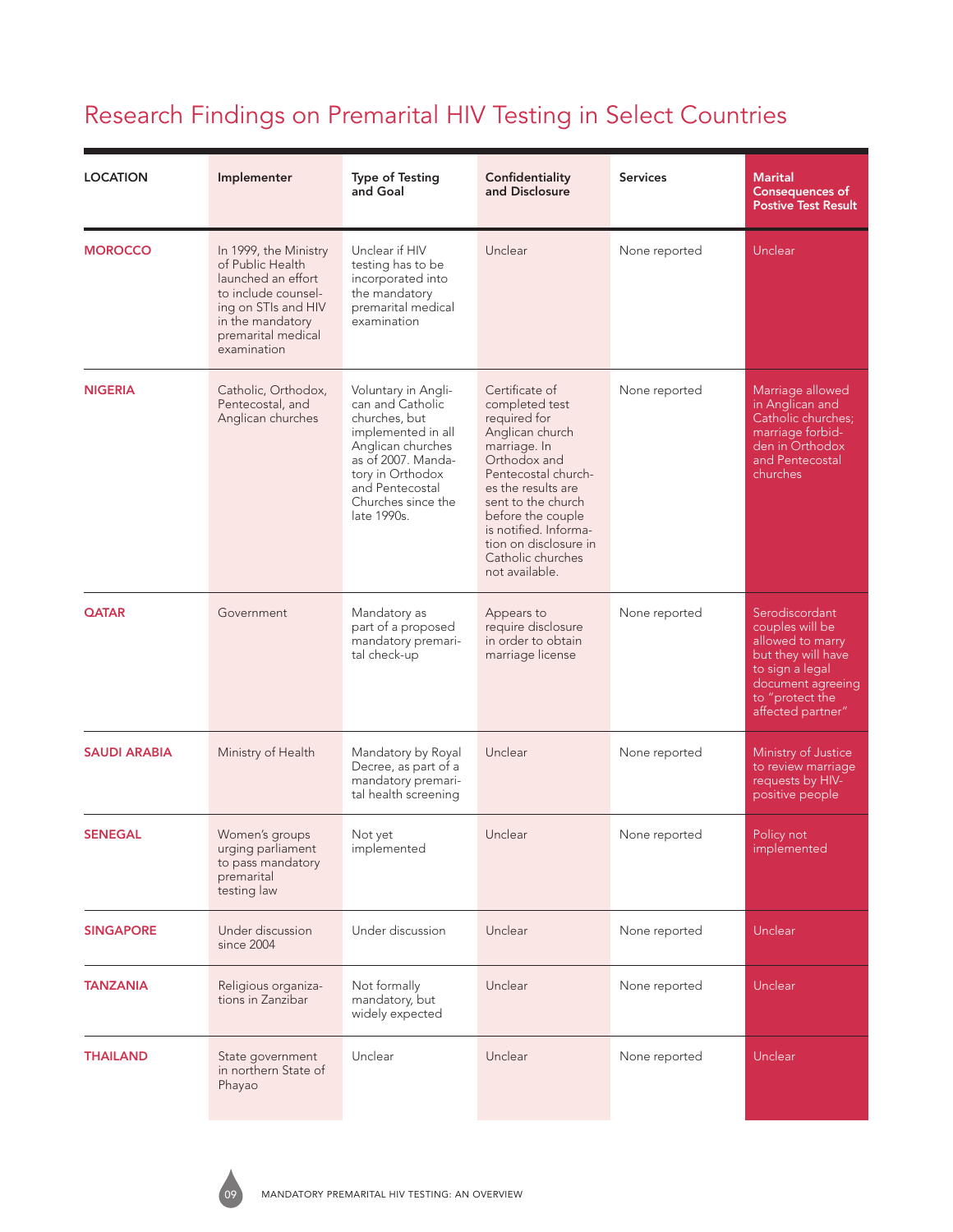| <b>LOCATION</b>     | Implementer                                                                                                                                                            | <b>Type of Testing</b><br>and Goal                                                                                                                                                                    | Confidentiality<br>and Disclosure                                                                                                                                                                                                                                                    | <b>Services</b> | <b>Marital</b><br><b>Consequences of</b><br><b>Postive Test Result</b>                                                                                      |
|---------------------|------------------------------------------------------------------------------------------------------------------------------------------------------------------------|-------------------------------------------------------------------------------------------------------------------------------------------------------------------------------------------------------|--------------------------------------------------------------------------------------------------------------------------------------------------------------------------------------------------------------------------------------------------------------------------------------|-----------------|-------------------------------------------------------------------------------------------------------------------------------------------------------------|
| <b>MOROCCO</b>      | In 1999, the Ministry<br>of Public Health<br>launched an effort<br>to include counsel-<br>ing on STIs and HIV<br>in the mandatory<br>premarital medical<br>examination | Unclear if HIV<br>testing has to be<br>incorporated into<br>the mandatory<br>premarital medical<br>examination                                                                                        | Unclear                                                                                                                                                                                                                                                                              | None reported   | Unclear                                                                                                                                                     |
| <b>NIGERIA</b>      | Catholic, Orthodox,<br>Pentecostal, and<br>Anglican churches                                                                                                           | Voluntary in Angli-<br>can and Catholic<br>churches, but<br>implemented in all<br>Anglican churches<br>as of 2007. Manda-<br>tory in Orthodox<br>and Pentecostal<br>Churches since the<br>late 1990s. | Certificate of<br>completed test<br>required for<br>Anglican church<br>marriage. In<br>Orthodox and<br>Pentecostal church-<br>es the results are<br>sent to the church<br>before the couple<br>is notified. Informa-<br>tion on disclosure in<br>Catholic churches<br>not available. | None reported   | Marriage allowed<br>in Anglican and<br>Catholic churches;<br>marriage forbid-<br>den in Orthodox<br>and Pentecostal<br>churches                             |
| <b>QATAR</b>        | Government                                                                                                                                                             | Mandatory as<br>part of a proposed<br>mandatory premari-<br>tal check-up                                                                                                                              | Appears to<br>require disclosure<br>in order to obtain<br>marriage license                                                                                                                                                                                                           | None reported   | Serodiscordant<br>couples will be<br>allowed to marry<br>but they will have<br>to sign a legal<br>document agreeing<br>to "protect the<br>affected partner" |
| <b>SAUDI ARABIA</b> | Ministry of Health                                                                                                                                                     | Mandatory by Royal<br>Decree, as part of a<br>mandatory premari-<br>tal health screening                                                                                                              | Unclear                                                                                                                                                                                                                                                                              | None reported   | Ministry of Justice<br>to review marriage<br>requests by HIV-<br>positive people                                                                            |
| <b>SENEGAL</b>      | Women's groups<br>urging parliament<br>to pass mandatory<br>premarital<br>testing law                                                                                  | Not yet<br>implemented                                                                                                                                                                                | Unclear                                                                                                                                                                                                                                                                              | None reported   | Policy not<br>implemented                                                                                                                                   |
| <b>SINGAPORE</b>    | Under discussion<br>since 2004                                                                                                                                         | Under discussion                                                                                                                                                                                      | Unclear                                                                                                                                                                                                                                                                              | None reported   | Unclear                                                                                                                                                     |
| <b>TANZANIA</b>     | Religious organiza-<br>tions in Zanzibar                                                                                                                               | Not formally<br>mandatory, but<br>widely expected                                                                                                                                                     | Unclear                                                                                                                                                                                                                                                                              | None reported   | Unclear                                                                                                                                                     |
| THAILAND            | State government<br>in northern State of<br>Phayao                                                                                                                     | Unclear                                                                                                                                                                                               | Unclear                                                                                                                                                                                                                                                                              | None reported   | Unclear                                                                                                                                                     |

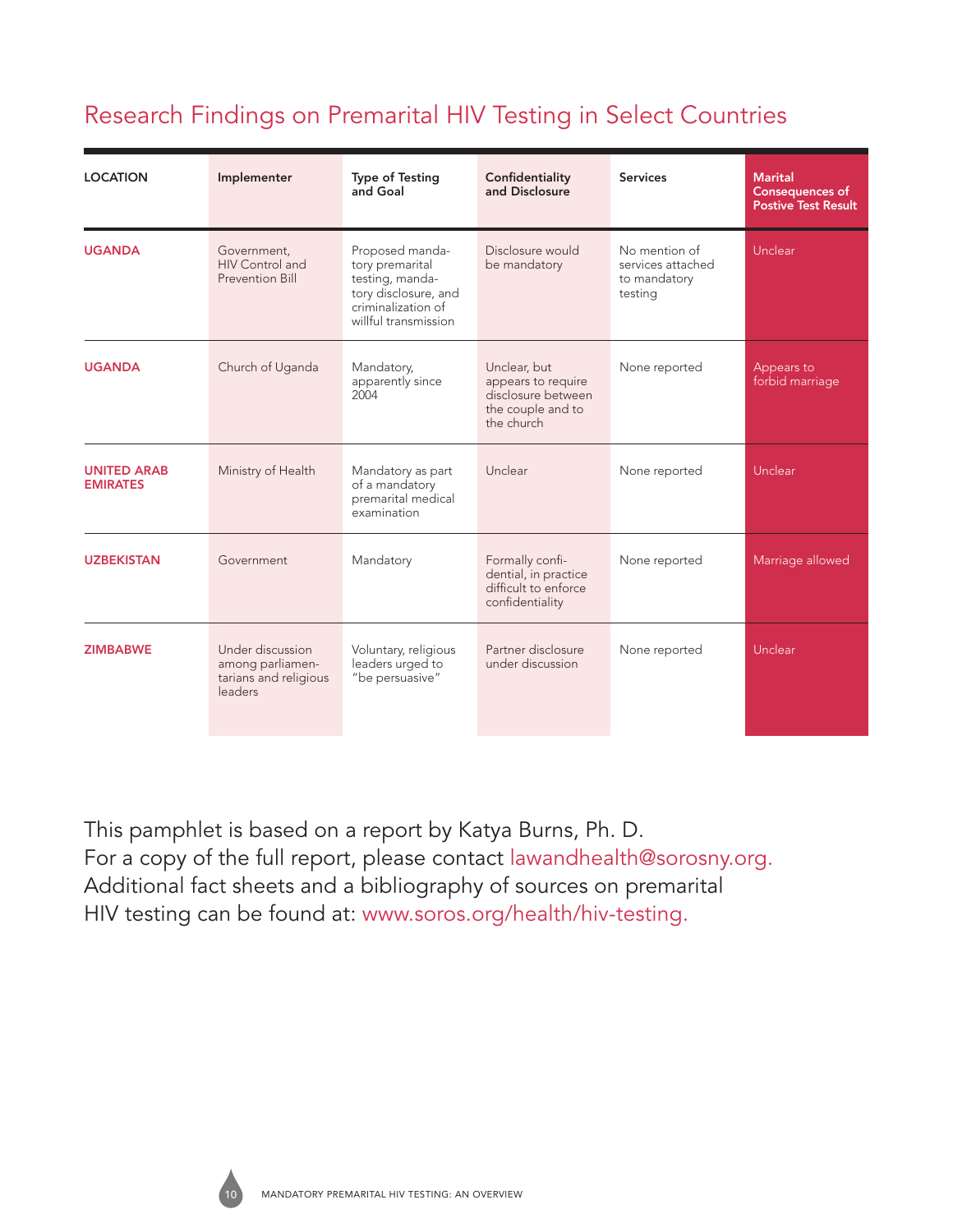| <b>LOCATION</b>                       | Implementer                                                              | <b>Type of Testing</b><br>and Goal                                                                                          | Confidentiality<br>and Disclosure                                                           | <b>Services</b>                                               | <b>Marital</b><br><b>Consequences of</b><br><b>Postive Test Result</b> |
|---------------------------------------|--------------------------------------------------------------------------|-----------------------------------------------------------------------------------------------------------------------------|---------------------------------------------------------------------------------------------|---------------------------------------------------------------|------------------------------------------------------------------------|
| <b>UGANDA</b>                         | Government,<br>HIV Control and<br>Prevention Bill                        | Proposed manda-<br>tory premarital<br>testing, manda-<br>tory disclosure, and<br>criminalization of<br>willful transmission | Disclosure would<br>be mandatory                                                            | No mention of<br>services attached<br>to mandatory<br>testing | Unclear                                                                |
| <b>UGANDA</b>                         | Church of Uganda                                                         | Mandatory,<br>apparently since<br>2004                                                                                      | Unclear, but<br>appears to require<br>disclosure between<br>the couple and to<br>the church | None reported                                                 | Appears to<br>forbid marriage                                          |
| <b>UNITED ARAB</b><br><b>EMIRATES</b> | Ministry of Health                                                       | Mandatory as part<br>of a mandatory<br>premarital medical<br>examination                                                    | Unclear                                                                                     | None reported                                                 | Unclear                                                                |
| <b>UZBEKISTAN</b>                     | Government                                                               | Mandatory                                                                                                                   | Formally confi-<br>dential, in practice<br>difficult to enforce<br>confidentiality          | None reported                                                 | Marriage allowed                                                       |
| <b>ZIMBABWE</b>                       | Under discussion<br>among parliamen-<br>tarians and religious<br>leaders | Voluntary, religious<br>leaders urged to<br>"be persuasive"                                                                 | Partner disclosure<br>under discussion                                                      | None reported                                                 | Unclear                                                                |

This pamphlet is based on a report by Katya Burns, Ph. D. For a copy of the full report, please contact lawandhealth@sorosny.org. Additional fact sheets and a bibliography of sources on premarital HIV testing can be found at: www.soros.org/health/hiv-testing.